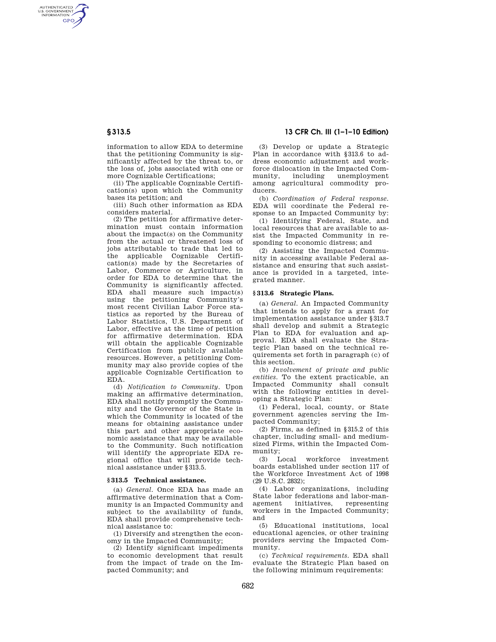AUTHENTICATED<br>U.S. GOVERNMENT<br>INFORMATION **GPO** 

> information to allow EDA to determine that the petitioning Community is significantly affected by the threat to, or the loss of, jobs associated with one or more Cognizable Certifications;

> (ii) The applicable Cognizable Certification(s) upon which the Community bases its petition; and

> (iii) Such other information as EDA considers material.

(2) The petition for affirmative determination must contain information about the impact(s) on the Community from the actual or threatened loss of jobs attributable to trade that led to the applicable Cognizable Certification(s) made by the Secretaries of Labor, Commerce or Agriculture, in order for EDA to determine that the Community is significantly affected. EDA shall measure such impact(s) using the petitioning Community's most recent Civilian Labor Force statistics as reported by the Bureau of Labor Statistics, U.S. Department of Labor, effective at the time of petition for affirmative determination. EDA will obtain the applicable Cognizable Certification from publicly available resources. However, a petitioning Community may also provide copies of the applicable Cognizable Certification to EDA.

(d) *Notification to Community.* Upon making an affirmative determination, EDA shall notify promptly the Community and the Governor of the State in which the Community is located of the means for obtaining assistance under this part and other appropriate economic assistance that may be available to the Community. Such notification will identify the appropriate EDA regional office that will provide technical assistance under §313.5.

## **§ 313.5 Technical assistance.**

(a) *General.* Once EDA has made an affirmative determination that a Community is an Impacted Community and subject to the availability of funds, EDA shall provide comprehensive technical assistance to:

(1) Diversify and strengthen the economy in the Impacted Community;

(2) Identify significant impediments to economic development that result from the impact of trade on the Impacted Community; and

**§ 313.5 13 CFR Ch. III (1–1–10 Edition)** 

(3) Develop or update a Strategic Plan in accordance with §313.6 to address economic adjustment and workforce dislocation in the Impacted Com-<br>munity, including unemployment unemployment among agricultural commodity producers.

(b) *Coordination of Federal response.*  EDA will coordinate the Federal response to an Impacted Community by:

(1) Identifying Federal, State, and local resources that are available to assist the Impacted Community in responding to economic distress; and

(2) Assisting the Impacted Community in accessing available Federal assistance and ensuring that such assistance is provided in a targeted, integrated manner.

## **§ 313.6 Strategic Plans.**

(a) *General.* An Impacted Community that intends to apply for a grant for implementation assistance under §313.7 shall develop and submit a Strategic Plan to EDA for evaluation and approval. EDA shall evaluate the Strategic Plan based on the technical requirements set forth in paragraph (c) of this section.

(b) *Involvement of private and public entities.* To the extent practicable, an Impacted Community shall consult with the following entities in developing a Strategic Plan:

(1) Federal, local, county, or State government agencies serving the Impacted Community;

(2) Firms, as defined in §315.2 of this chapter, including small- and mediumsized Firms, within the Impacted Community;

(3) Local workforce investment boards established under section 117 of the Workforce Investment Act of 1998 (29 U.S.C. 2832);

(4) Labor organizations, including State labor federations and labor-management initiatives, representing workers in the Impacted Community; and

(5) Educational institutions, local educational agencies, or other training providers serving the Impacted Community.

(c) *Technical requirements.* EDA shall evaluate the Strategic Plan based on the following minimum requirements: